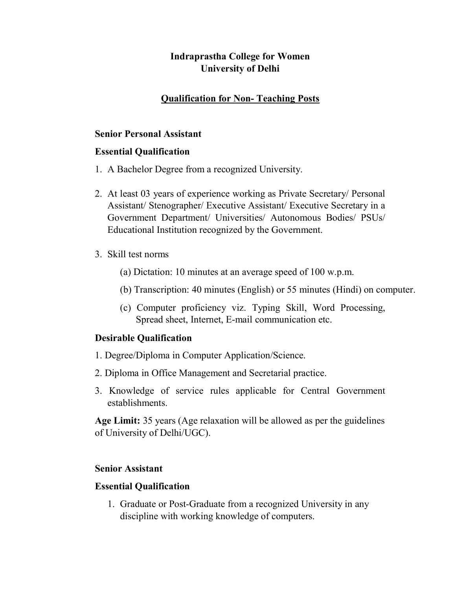# Indraprastha College for Women University of Delhi

## Qualification for Non- Teaching Posts

#### Senior Personal Assistant

## Essential Qualification

- 1. A Bachelor Degree from a recognized University.
- 2. At least 03 years of experience working as Private Secretary/ Personal Assistant/ Stenographer/ Executive Assistant/ Executive Secretary in a Government Department/ Universities/ Autonomous Bodies/ PSUs/ Educational Institution recognized by the Government.
- 3. Skill test norms
	- (a) Dictation: 10 minutes at an average speed of 100 w.p.m.
	- (b) Transcription: 40 minutes (English) or 55 minutes (Hindi) on computer.
	- (c) Computer proficiency viz. Typing Skill, Word Processing, Spread sheet, Internet, E-mail communication etc.

## Desirable Qualification

- 1. Degree/Diploma in Computer Application/Science.
- 2. Diploma in Office Management and Secretarial practice.
- 3. Knowledge of service rules applicable for Central Government establishments.

Age Limit: 35 years (Age relaxation will be allowed as per the guidelines of University of Delhi/UGC).

## Senior Assistant

#### Essential Qualification

1. Graduate or Post-Graduate from a recognized University in any discipline with working knowledge of computers.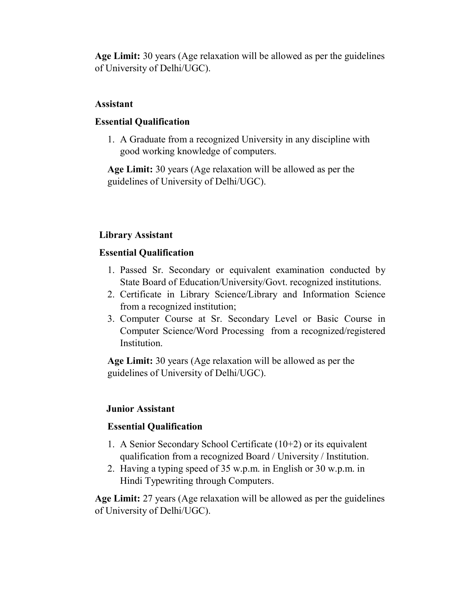Age Limit: 30 years (Age relaxation will be allowed as per the guidelines of University of Delhi/UGC).

## Assistant

## Essential Qualification

1. A Graduate from a recognized University in any discipline with good working knowledge of computers.

Age Limit: 30 years (Age relaxation will be allowed as per the guidelines of University of Delhi/UGC).

# Library Assistant

## Essential Qualification

- 1. Passed Sr. Secondary or equivalent examination conducted by State Board of Education/University/Govt. recognized institutions.
- 2. Certificate in Library Science/Library and Information Science from a recognized institution;
- 3. Computer Course at Sr. Secondary Level or Basic Course in Computer Science/Word Processing from a recognized/registered Institution.

Age Limit: 30 years (Age relaxation will be allowed as per the guidelines of University of Delhi/UGC).

## Junior Assistant

## Essential Qualification

- 1. A Senior Secondary School Certificate (10+2) or its equivalent qualification from a recognized Board / University / Institution.
- 2. Having a typing speed of 35 w.p.m. in English or 30 w.p.m. in Hindi Typewriting through Computers.

Age Limit: 27 years (Age relaxation will be allowed as per the guidelines of University of Delhi/UGC).